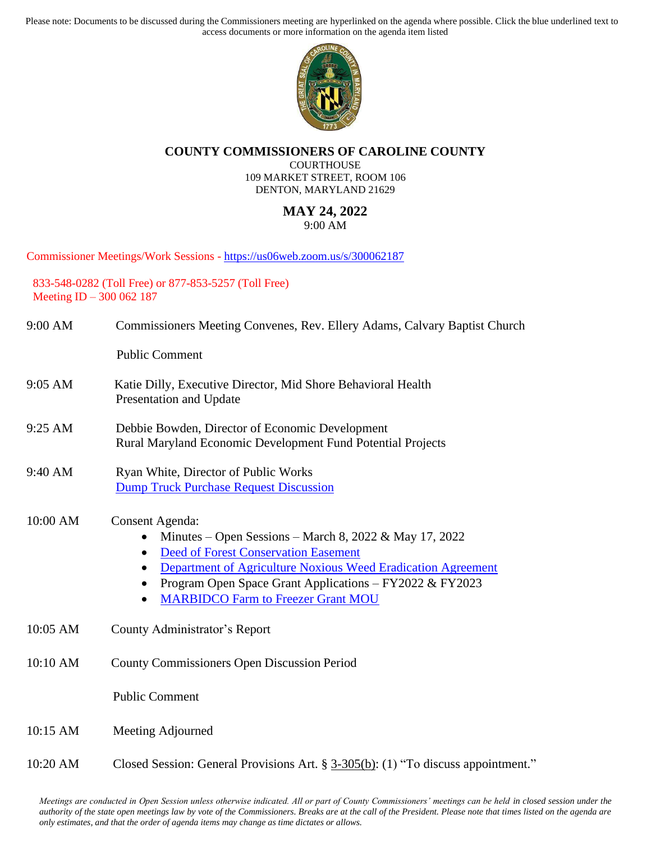Please note: Documents to be discussed during the Commissioners meeting are hyperlinked on the agenda where possible. Click the blue underlined text to access documents or more information on the agenda item listed



## **COUNTY COMMISSIONERS OF CAROLINE COUNTY**

COURTHOUSE 109 MARKET STREET, ROOM 106 DENTON, MARYLAND 21629

## **MAY 24, 2022**

9:00 AM

Commissioner Meetings/Work Sessions - <https://us06web.zoom.us/s/300062187>

833-548-0282 (Toll Free) or 877-853-5257 (Toll Free) Meeting ID – 300 062 187

| 9:00 AM  | Commissioners Meeting Convenes, Rev. Ellery Adams, Calvary Baptist Church                                                                                                                                                                                                                                                                           |
|----------|-----------------------------------------------------------------------------------------------------------------------------------------------------------------------------------------------------------------------------------------------------------------------------------------------------------------------------------------------------|
|          | <b>Public Comment</b>                                                                                                                                                                                                                                                                                                                               |
| 9:05 AM  | Katie Dilly, Executive Director, Mid Shore Behavioral Health<br>Presentation and Update                                                                                                                                                                                                                                                             |
| 9:25 AM  | Debbie Bowden, Director of Economic Development<br>Rural Maryland Economic Development Fund Potential Projects                                                                                                                                                                                                                                      |
| 9:40 AM  | Ryan White, Director of Public Works<br><b>Dump Truck Purchase Request Discussion</b>                                                                                                                                                                                                                                                               |
| 10:00 AM | <b>Consent Agenda:</b><br>Minutes – Open Sessions – March 8, 2022 & May 17, 2022<br>$\bullet$<br><b>Deed of Forest Conservation Easement</b><br>$\bullet$<br>Department of Agriculture Noxious Weed Eradication Agreement<br>٠<br>Program Open Space Grant Applications - FY2022 & FY2023<br>$\bullet$<br><b>MARBIDCO Farm to Freezer Grant MOU</b> |
| 10:05 AM | County Administrator's Report                                                                                                                                                                                                                                                                                                                       |
| 10:10 AM | <b>County Commissioners Open Discussion Period</b>                                                                                                                                                                                                                                                                                                  |
|          | <b>Public Comment</b>                                                                                                                                                                                                                                                                                                                               |
| 10:15 AM | Meeting Adjourned                                                                                                                                                                                                                                                                                                                                   |

10:20 AM Closed Session: General Provisions Art. § 3-305(b): (1) "To discuss appointment."